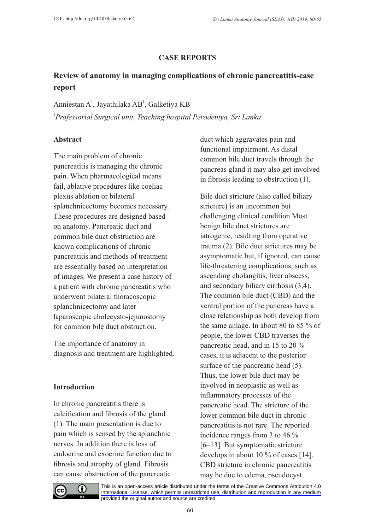# **CASE REPORTS**

# **Review of anatomy in managing complications of chronic pancreatitis-case report**

Anniestan A<sup>1</sup>, Jayathilaka AB<sup>1</sup>, Galketiya KB<sup>1</sup> 1 *Professorial Surgical unit, Teaching hospital Peradeniya, Sri Lanka* 

## **Abstract**

The main problem of chronic pancreatitis is managing the chronic pain. When pharmacological means fail, ablative procedures like coeliac plexus ablation or bilateral splanchnicectomy becomes necessary. These procedures are designed based on anatomy. Pancreatic duct and common bile duct obstruction are known complications of chronic pancreatitis and methods of treatment are essentially based on interpretation of images. We present a case history of a patient with chronic pancreatitis who underwent bilateral thoracoscopic splanchnicectomy and later laparoscopic cholecysto-jejunostomy for common bile duct obstruction.

The importance of anatomy in diagnosis and treatment are highlighted.

#### **Introduction**

In chronic pancreatitis there is calcification and fibrosis of the gland (1). The main presentation is due to pain which is sensed by the splanchnic nerves. In addition there is loss of endocrine and exocrine function due to fibrosis and atrophy of gland. Fibrosis can cause obstruction of the pancreatic

duct which aggravates pain and functional impairment. As distal common bile duct travels through the pancreas gland it may also get involved in fibrosis leading to obstruction (1).

Bile duct stricture (also called biliary stricture) is an uncommon but challenging clinical condition Most benign bile duct strictures are iatrogenic, resulting from operative trauma (2). Bile duct strictures may be asymptomatic but, if ignored, can cause life-threatening complications, such as ascending cholangitis, liver abscess, and secondary biliary cirrhosis (3,4). The common bile duct (CBD) and the ventral portion of the pancreas have a close relationship as both develop from the same anlage. In about 80 to 85 % of people, the lower CBD traverses the pancreatic head, and in 15 to 20 % cases, it is adjacent to the posterior surface of the pancreatic head  $(5)$ . Thus, the lower bile duct may be involved in neoplastic as well as inflammatory processes of the pancreatic head. The stricture of the lower common bile duct in chronic pancreatitis is not rare. The reported incidence ranges from 3 to 46 % [6–13]. But symptomatic stricture develops in about 10 % of cases [14]. CBD stricture in chronic pancreatitis may be due to edema, pseudocyst



[This is an open-access article distributed under the terms of the Creative Commons Attribution 4.0](https://creativecommons.org/licenses/by/4.0/)  International License, which permits unrestricted use, distribution and reproduction in any medium provided the original author and source are credited.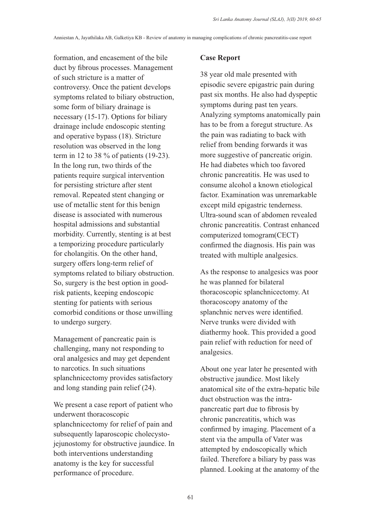formation, and encasement of the bile duct by fibrous processes. Management of such stricture is a matter of controversy. Once the patient develops symptoms related to biliary obstruction, some form of biliary drainage is necessary (15-17). Options for biliary drainage include endoscopic stenting and operative bypass (18). Stricture resolution was observed in the long term in 12 to 38 % of patients (19-23). In the long run, two thirds of the patients require surgical intervention for persisting stricture after stent removal. Repeated stent changing or use of metallic stent for this benign disease is associated with numerous hospital admissions and substantial morbidity. Currently, stenting is at best a temporizing procedure particularly for cholangitis. On the other hand, surgery offers long-term relief of symptoms related to biliary obstruction. So, surgery is the best option in goodrisk patients, keeping endoscopic stenting for patients with serious comorbid conditions or those unwilling to undergo surgery.

Management of pancreatic pain is challenging, many not responding to oral analgesics and may get dependent to narcotics. In such situations splanchnicectomy provides satisfactory and long standing pain relief (24).

We present a case report of patient who underwent thoracoscopic splanchnicectomy for relief of pain and subsequently laparoscopic cholecystojejunostomy for obstructive jaundice. In both interventions understanding anatomy is the key for successful performance of procedure.

## **Case Report**

38 year old male presented with episodic severe epigastric pain during past six months. He also had dyspeptic symptoms during past ten years. Analyzing symptoms anatomically pain has to be from a foregut structure. As the pain was radiating to back with relief from bending forwards it was more suggestive of pancreatic origin. He had diabetes which too favored chronic pancreatitis. He was used to consume alcohol a known etiological factor. Examination was unremarkable except mild epigastric tenderness. Ultra-sound scan of abdomen revealed chronic pancreatitis. Contrast enhanced computerized tomogram(CECT) confirmed the diagnosis. His pain was treated with multiple analgesics.

As the response to analgesics was poor he was planned for bilateral thoracoscopic splanchnicectomy. At thoracoscopy anatomy of the splanchnic nerves were identified. Nerve trunks were divided with diathermy hook. This provided a good pain relief with reduction for need of analgesics.

About one year later he presented with obstructive jaundice. Most likely anatomical site of the extra-hepatic bile duct obstruction was the intrapancreatic part due to fibrosis by chronic pancreatitis, which was confirmed by imaging. Placement of a stent via the ampulla of Vater was attempted by endoscopically which failed. Therefore a biliary by pass was planned. Looking at the anatomy of the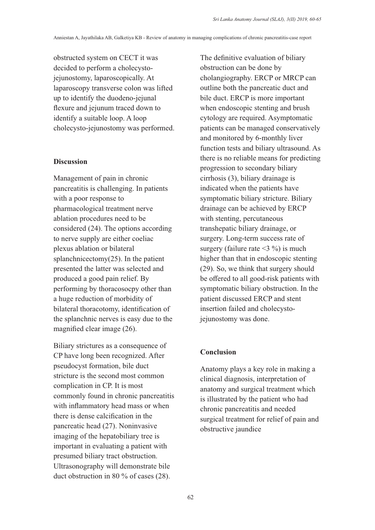obstructed system on CECT it was decided to perform a cholecystojejunostomy, laparoscopically. At laparoscopy transverse colon was lifted up to identify the duodeno-jejunal flexure and jejunum traced down to identify a suitable loop. A loop cholecysto-jejunostomy was performed.

# **Discussion**

Management of pain in chronic pancreatitis is challenging. In patients with a poor response to pharmacological treatment nerve ablation procedures need to be considered (24). The options according to nerve supply are either coeliac plexus ablation or bilateral splanchnicectomy(25). In the patient presented the latter was selected and produced a good pain relief. By performing by thoracosocpy other than a huge reduction of morbidity of bilateral thoracotomy, identification of the splanchnic nerves is easy due to the magnified clear image (26).

Biliary strictures as a consequence of CP have long been recognized. After pseudocyst formation, bile duct stricture is the second most common complication in CP. It is most commonly found in chronic pancreatitis with inflammatory head mass or when there is dense calcification in the pancreatic head (27). Noninvasive imaging of the hepatobiliary tree is important in evaluating a patient with presumed biliary tract obstruction. Ultrasonography will demonstrate bile duct obstruction in 80 % of cases (28).

The definitive evaluation of biliary obstruction can be done by cholangiography. ERCP or MRCP can outline both the pancreatic duct and bile duct. ERCP is more important when endoscopic stenting and brush cytology are required. Asymptomatic patients can be managed conservatively and monitored by 6-monthly liver function tests and biliary ultrasound. As there is no reliable means for predicting progression to secondary biliary cirrhosis (3), biliary drainage is indicated when the patients have symptomatic biliary stricture. Biliary drainage can be achieved by ERCP with stenting, percutaneous transhepatic biliary drainage, or surgery. Long-term success rate of surgery (failure rate  $\leq$ 3 %) is much higher than that in endoscopic stenting (29). So, we think that surgery should be offered to all good-risk patients with symptomatic biliary obstruction. In the patient discussed ERCP and stent insertion failed and cholecystojejunostomy was done.

#### **Conclusion**

Anatomy plays a key role in making a clinical diagnosis, interpretation of anatomy and surgical treatment which is illustrated by the patient who had chronic pancreatitis and needed surgical treatment for relief of pain and obstructive jaundice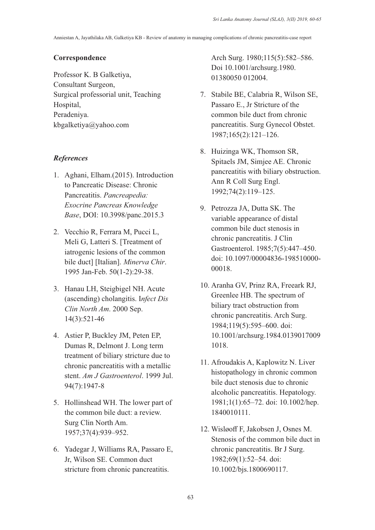#### **Correspondence**

Professor K. B Galketiya, Consultant Surgeon, Surgical professorial unit, Teaching Hospital, Peradeniya. kbgalketiya@yahoo.com

## *References*

- 1. Aghani, Elham.(2015). Introduction to Pancreatic Disease: Chronic Pancreatitis. *Pancreapedia: Exocrine Pancreas Knowledge Base*, DOI: 10.3998/panc.2015.3
- 2. Vecchio R, Ferrara M, Pucci L, Meli G, Latteri S. [Treatment of iatrogenic lesions of the common bile duct] [Italian]. *Minerva Chir*. 1995 Jan-Feb. 50(1-2):29-38.
- 3. Hanau LH, Steigbigel NH. Acute (ascending) cholangitis. I*nfect Dis Clin North Am*. 2000 Sep. 14(3):521-46
- 4. Astier P, Buckley JM, Peten EP, Dumas R, Delmont J. Long term treatment of biliary stricture due to chronic pancreatitis with a metallic stent. *Am J Gastroenterol*. 1999 Jul. 94(7):1947-8
- 5. Hollinshead WH. The lower part of the common bile duct: a review. Surg Clin North Am. 1957;37(4):939–952.
- 6. Yadegar J, Williams RA, Passaro E, Jr, Wilson SE. Common duct stricture from chronic pancreatitis.

Arch Surg. 1980;115(5):582–586. Doi 10.1001/archsurg.1980. 01380050 012004.

- 7. Stabile BE, Calabria R, Wilson SE, Passaro E., Jr Stricture of the common bile duct from chronic pancreatitis. Surg Gynecol Obstet. 1987;165(2):121–126.
- 8. Huizinga WK, Thomson SR, Spitaels JM, Simjee AE. Chronic pancreatitis with biliary obstruction. Ann R Coll Surg Engl. 1992;74(2):119–125.
- 9. Petrozza JA, Dutta SK. The variable appearance of distal common bile duct stenosis in chronic pancreatitis. J Clin Gastroenterol. 1985;7(5):447–450. doi: 10.1097/00004836-198510000- 00018.
- 10. Aranha GV, Prinz RA, Freeark RJ, Greenlee HB. The spectrum of biliary tract obstruction from chronic pancreatitis. Arch Surg. 1984;119(5):595–600. doi: 10.1001/archsurg.1984.0139017009 1018.
- 11. Afroudakis A, Kaplowitz N. Liver histopathology in chronic common bile duct stenosis due to chronic alcoholic pancreatitis. Hepatology. 1981;1(1):65–72. doi: 10.1002/hep. 1840010111.
- 12. Wisløoff F, Jakobsen J, Osnes M. Stenosis of the common bile duct in chronic pancreatitis. Br J Surg. 1982;69(1):52–54. doi: 10.1002/bjs.1800690117.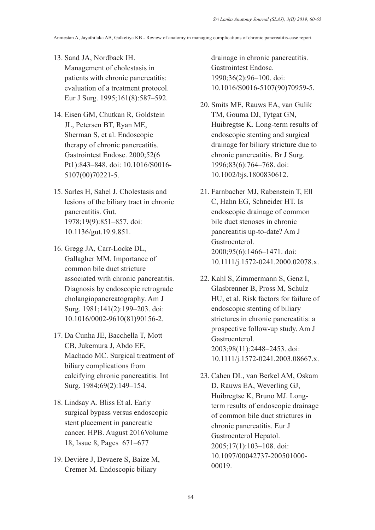- 13. Sand JA, Nordback IH. Management of cholestasis in patients with chronic pancreatitis: evaluation of a treatment protocol. Eur J Surg. 1995;161(8):587–592.
- 14. Eisen GM, Chutkan R, Goldstein JL, Petersen BT, Ryan ME, Sherman S, et al. Endoscopic therapy of chronic pancreatitis. Gastrointest Endosc. 2000;52(6 Pt1):843–848. doi: 10.1016/S0016- 5107(00)70221-5.
- 15. Sarles H, Sahel J. Cholestasis and lesions of the biliary tract in chronic pancreatitis. Gut. 1978;19(9):851–857. doi: 10.1136/gut.19.9.851.
- 16. Gregg JA, Carr-Locke DL, Gallagher MM. Importance of common bile duct stricture associated with chronic pancreatitis. Diagnosis by endoscopic retrograde cholangiopancreatography. Am J Surg. 1981;141(2):199–203. doi: 10.1016/0002-9610(81)90156-2.
- 17. Da Cunha JE, Bacchella T, Mott CB, Jukemura J, Abdo EE, Machado MC. Surgical treatment of biliary complications from calcifying chronic pancreatitis. Int Surg. 1984;69(2):149–154.
- 18. Lindsay A. Bliss Et al. Early surgical bypass versus endoscopic stent placement in pancreatic cancer. HPB. August 2016Volume 18, Issue 8, Pages 671–677
- 19. Devière J, Devaere S, Baize M, Cremer M. Endoscopic biliary

drainage in chronic pancreatitis. Gastrointest Endosc. 1990;36(2):96–100. doi: 10.1016/S0016-5107(90)70959-5.

- 20. Smits ME, Rauws EA, van Gulik TM, Gouma DJ, Tytgat GN, Huibregtse K. Long-term results of endoscopic stenting and surgical drainage for biliary stricture due to chronic pancreatitis. Br J Surg. 1996;83(6):764–768. doi: 10.1002/bjs.1800830612.
- 21. Farnbacher MJ, Rabenstein T, Ell C, Hahn EG, Schneider HT. Is endoscopic drainage of common bile duct stenoses in chronic pancreatitis up-to-date? Am J Gastroenterol. 2000;95(6):1466–1471. doi: 10.1111/j.1572-0241.2000.02078.x.
- 22. Kahl S, Zimmermann S, Genz I, Glasbrenner B, Pross M, Schulz HU, et al. Risk factors for failure of endoscopic stenting of biliary strictures in chronic pancreatitis: a prospective follow-up study. Am J Gastroenterol. 2003;98(11):2448–2453. doi: 10.1111/j.1572-0241.2003.08667.x.
- 23. Cahen DL, van Berkel AM, Oskam D, Rauws EA, Weverling GJ, Huibregtse K, Bruno MJ. Longterm results of endoscopic drainage of common bile duct strictures in chronic pancreatitis. Eur J Gastroenterol Hepatol. 2005;17(1):103–108. doi: 10.1097/00042737-200501000- 00019.